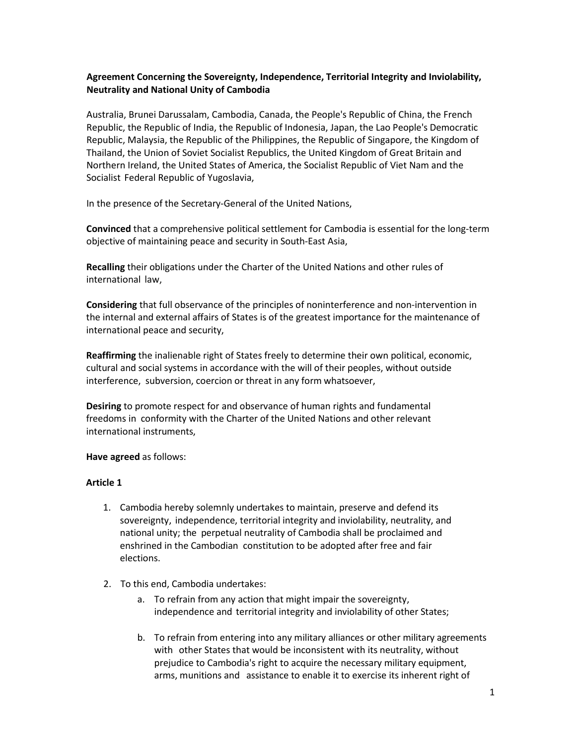## **Agreement Concerning the Sovereignty, Independence, Territorial Integrity and Inviolability, Neutrality and National Unity of Cambodia**

Australia, Brunei Darussalam, Cambodia, Canada, the People's Republic of China, the French Republic, the Republic of India, the Republic of Indonesia, Japan, the Lao People's Democratic Republic, Malaysia, the Republic of the Philippines, the Republic of Singapore, the Kingdom of Thailand, the Union of Soviet Socialist Republics, the United Kingdom of Great Britain and Northern Ireland, the United States of America, the Socialist Republic of Viet Nam and the Socialist Federal Republic of Yugoslavia,

In the presence of the Secretary-General of the United Nations,

**Convinced** that a comprehensive political settlement for Cambodia is essential for the long-term objective of maintaining peace and security in South-East Asia,

**Recalling** their obligations under the Charter of the United Nations and other rules of international law,

**Considering** that full observance of the principles of noninterference and non-intervention in the internal and external affairs of States is of the greatest importance for the maintenance of international peace and security,

**Reaffirming** the inalienable right of States freely to determine their own political, economic, cultural and social systems in accordance with the will of their peoples, without outside interference, subversion, coercion or threat in any form whatsoever,

**Desiring** to promote respect for and observance of human rights and fundamental freedoms in conformity with the Charter of the United Nations and other relevant international instruments,

#### **Have agreed** as follows:

#### **Article 1**

- 1. Cambodia hereby solemnly undertakes to maintain, preserve and defend its sovereignty, independence, territorial integrity and inviolability, neutrality, and national unity; the perpetual neutrality of Cambodia shall be proclaimed and enshrined in the Cambodian constitution to be adopted after free and fair elections.
- 2. To this end, Cambodia undertakes:
	- a. To refrain from any action that might impair the sovereignty, independence and territorial integrity and inviolability of other States;
	- b. To refrain from entering into any military alliances or other military agreements with other States that would be inconsistent with its neutrality, without prejudice to Cambodia's right to acquire the necessary military equipment, arms, munitions and assistance to enable it to exercise its inherent right of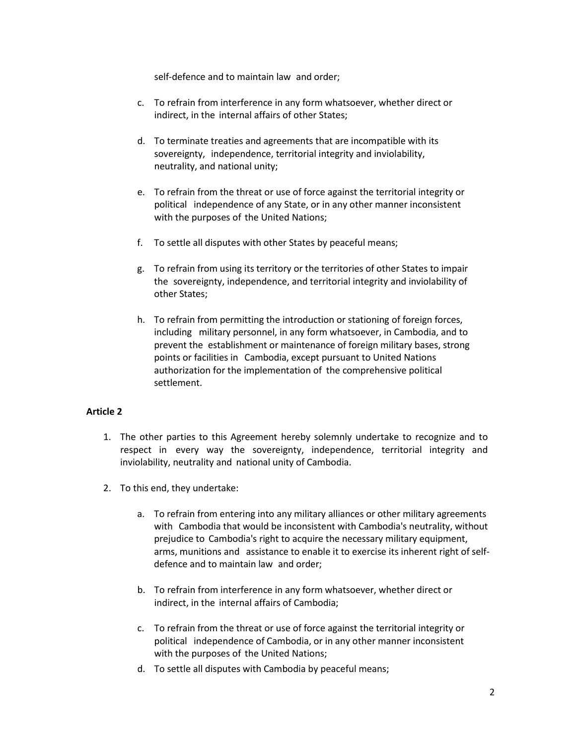self-defence and to maintain law and order;

- c. To refrain from interference in any form whatsoever, whether direct or indirect, in the internal affairs of other States;
- d. To terminate treaties and agreements that are incompatible with its sovereignty, independence, territorial integrity and inviolability, neutrality, and national unity;
- e. To refrain from the threat or use of force against the territorial integrity or political independence of any State, or in any other manner inconsistent with the purposes of the United Nations;
- f. To settle all disputes with other States by peaceful means;
- g. To refrain from using its territory or the territories of other States to impair the sovereignty, independence, and territorial integrity and inviolability of other States;
- h. To refrain from permitting the introduction or stationing of foreign forces, including military personnel, in any form whatsoever, in Cambodia, and to prevent the establishment or maintenance of foreign military bases, strong points or facilities in Cambodia, except pursuant to United Nations authorization for the implementation of the comprehensive political settlement.

### **Article 2**

- 1. The other parties to this Agreement hereby solemnly undertake to recognize and to respect in every way the sovereignty, independence, territorial integrity and inviolability, neutrality and national unity of Cambodia.
- 2. To this end, they undertake:
	- a. To refrain from entering into any military alliances or other military agreements with Cambodia that would be inconsistent with Cambodia's neutrality, without prejudice to Cambodia's right to acquire the necessary military equipment, arms, munitions and assistance to enable it to exercise its inherent right of selfdefence and to maintain law and order;
	- b. To refrain from interference in any form whatsoever, whether direct or indirect, in the internal affairs of Cambodia;
	- c. To refrain from the threat or use of force against the territorial integrity or political independence of Cambodia, or in any other manner inconsistent with the purposes of the United Nations;
	- d. To settle all disputes with Cambodia by peaceful means;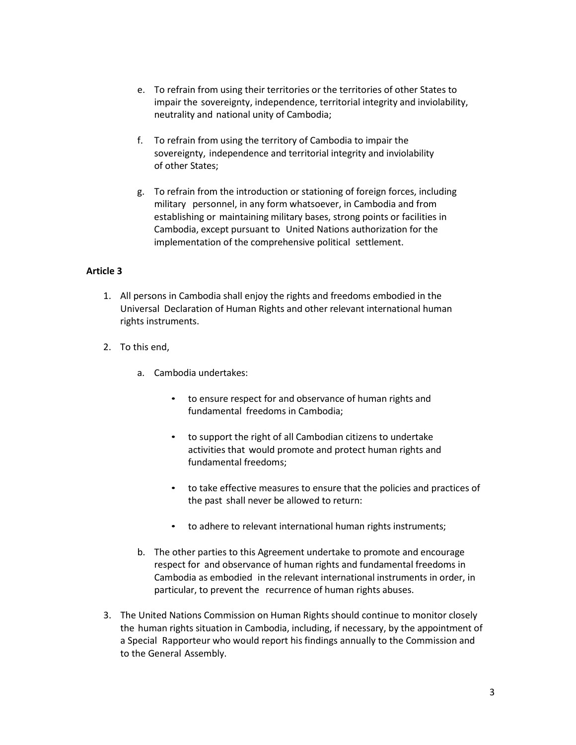- e. To refrain from using their territories or the territories of other States to impair the sovereignty, independence, territorial integrity and inviolability, neutrality and national unity of Cambodia;
- f. To refrain from using the territory of Cambodia to impair the sovereignty, independence and territorial integrity and inviolability of other States;
- g. To refrain from the introduction or stationing of foreign forces, including military personnel, in any form whatsoever, in Cambodia and from establishing or maintaining military bases, strong points or facilities in Cambodia, except pursuant to United Nations authorization for the implementation of the comprehensive political settlement.

## **Article 3**

- 1. All persons in Cambodia shall enjoy the rights and freedoms embodied in the Universal Declaration of Human Rights and other relevant international human rights instruments.
- 2. To this end,
	- a. Cambodia undertakes:
		- to ensure respect for and observance of human rights and fundamental freedoms in Cambodia;
		- to support the right of all Cambodian citizens to undertake activities that would promote and protect human rights and fundamental freedoms;
		- to take effective measures to ensure that the policies and practices of the past shall never be allowed to return:
		- to adhere to relevant international human rights instruments;
	- b. The other parties to this Agreement undertake to promote and encourage respect for and observance of human rights and fundamental freedoms in Cambodia as embodied in the relevant international instruments in order, in particular, to prevent the recurrence of human rights abuses.
- 3. The United Nations Commission on Human Rights should continue to monitor closely the human rights situation in Cambodia, including, if necessary, by the appointment of a Special Rapporteur who would report his findings annually to the Commission and to the General Assembly.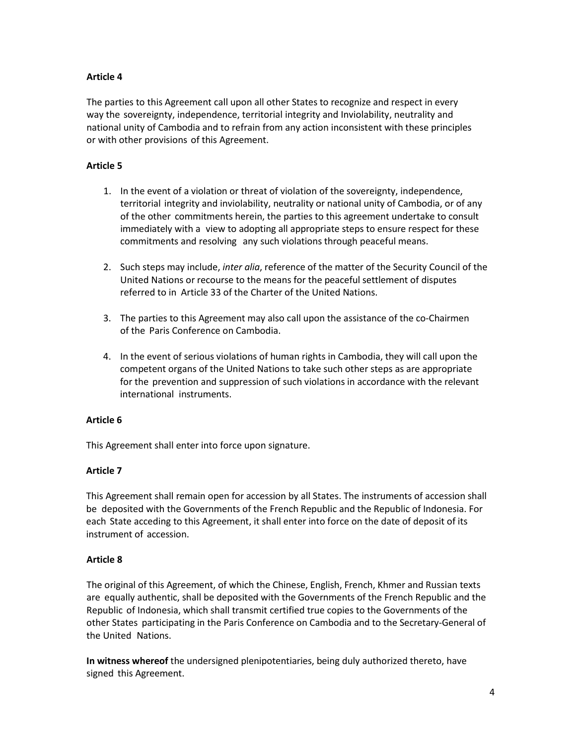# **Article 4**

The parties to this Agreement call upon all other States to recognize and respect in every way the sovereignty, independence, territorial integrity and Inviolability, neutrality and national unity of Cambodia and to refrain from any action inconsistent with these principles or with other provisions of this Agreement.

### **Article 5**

- 1. In the event of a violation or threat of violation of the sovereignty, independence, territorial integrity and inviolability, neutrality or national unity of Cambodia, or of any of the other commitments herein, the parties to this agreement undertake to consult immediately with a view to adopting all appropriate steps to ensure respect for these commitments and resolving any such violations through peaceful means.
- 2. Such steps may include, *inter alia*, reference of the matter of the Security Council of the United Nations or recourse to the means for the peaceful settlement of disputes referred to in Article 33 of the Charter of the United Nations.
- 3. The parties to this Agreement may also call upon the assistance of the co-Chairmen of the Paris Conference on Cambodia.
- 4. In the event of serious violations of human rights in Cambodia, they will call upon the competent organs of the United Nations to take such other steps as are appropriate for the prevention and suppression of such violations in accordance with the relevant international instruments.

### **Article 6**

This Agreement shall enter into force upon signature.

### **Article 7**

This Agreement shall remain open for accession by all States. The instruments of accession shall be deposited with the Governments of the French Republic and the Republic of Indonesia. For each State acceding to this Agreement, it shall enter into force on the date of deposit of its instrument of accession.

### **Article 8**

The original of this Agreement, of which the Chinese, English, French, Khmer and Russian texts are equally authentic, shall be deposited with the Governments of the French Republic and the Republic of Indonesia, which shall transmit certified true copies to the Governments of the other States participating in the Paris Conference on Cambodia and to the Secretary-General of the United Nations.

**In witness whereof** the undersigned plenipotentiaries, being duly authorized thereto, have signed this Agreement.